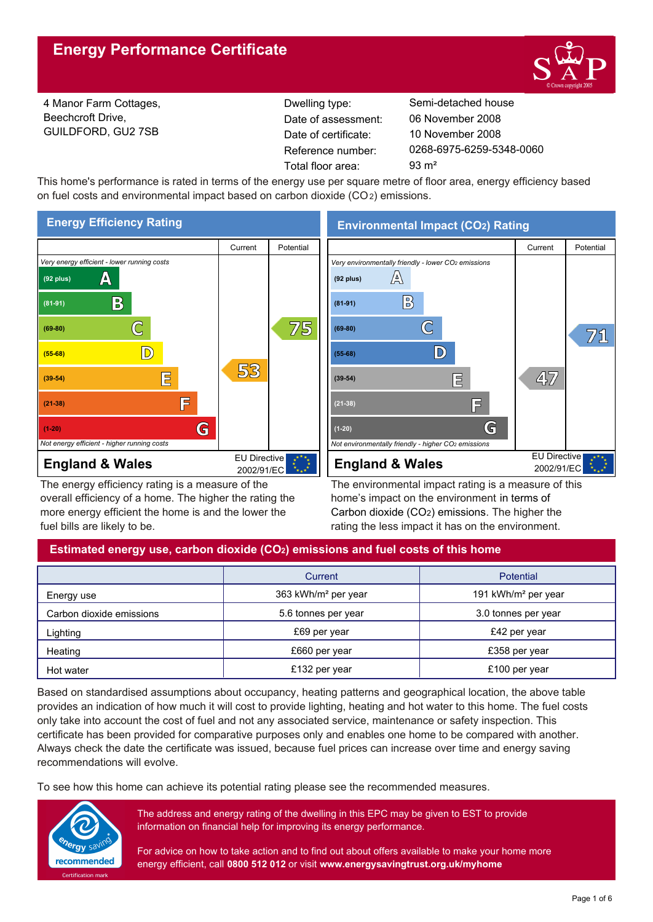

4 Manor Farm Cottages, Beechcroft Drive, GUILDFORD, GU2 7SB

Reference number: Date of certificate: Total floor area: 93 m<sup>2</sup> Date of assessment:

Dwelling type: Semi-detached house 0268-6975-6259-5348-0060 10 November 2008 06 November 2008

This home's performance is rated in terms of the energy use per square metre of floor area, energy efficiency based on fuel costs and environmental impact based on carbon dioxide (CO2) emissions.



The energy efficiency rating is a measure of the overall efficiency of a home. The higher the rating the more energy efficient the home is and the lower the fuel bills are likely to be.

**Environmental Impact (CO2) Rating**



The environmental impact rating is a measure of this home's impact on the environment in terms of Carbon dioxide (CO2) emissions. The higher the rating the less impact it has on the environment.

## **Estimated energy use, carbon dioxide (CO2) emissions and fuel costs of this home**

|                          | Current                         | <b>Potential</b>                |
|--------------------------|---------------------------------|---------------------------------|
| Energy use               | 363 kWh/m <sup>2</sup> per year | 191 kWh/m <sup>2</sup> per year |
| Carbon dioxide emissions | 5.6 tonnes per year             | 3.0 tonnes per year             |
| Lighting                 | £69 per year                    | £42 per year                    |
| Heating                  | £660 per year                   | £358 per year                   |
| Hot water                | £132 per year                   | £100 per year                   |

Based on standardised assumptions about occupancy, heating patterns and geographical location, the above table provides an indication of how much it will cost to provide lighting, heating and hot water to this home. The fuel costs only take into account the cost of fuel and not any associated service, maintenance or safety inspection. This certificate has been provided for comparative purposes only and enables one home to be compared with another. Always check the date the certificate was issued, because fuel prices can increase over time and energy saving recommendations will evolve.

To see how this home can achieve its potential rating please see the recommended measures.



The address and energy rating of the dwelling in this EPC may be given to EST to provide information on financial help for improving its energy performance.

For advice on how to take action and to find out about offers available to make your home more energy efficient, call **0800 512 012** or visit **www.energysavingtrust.org.uk/myhome**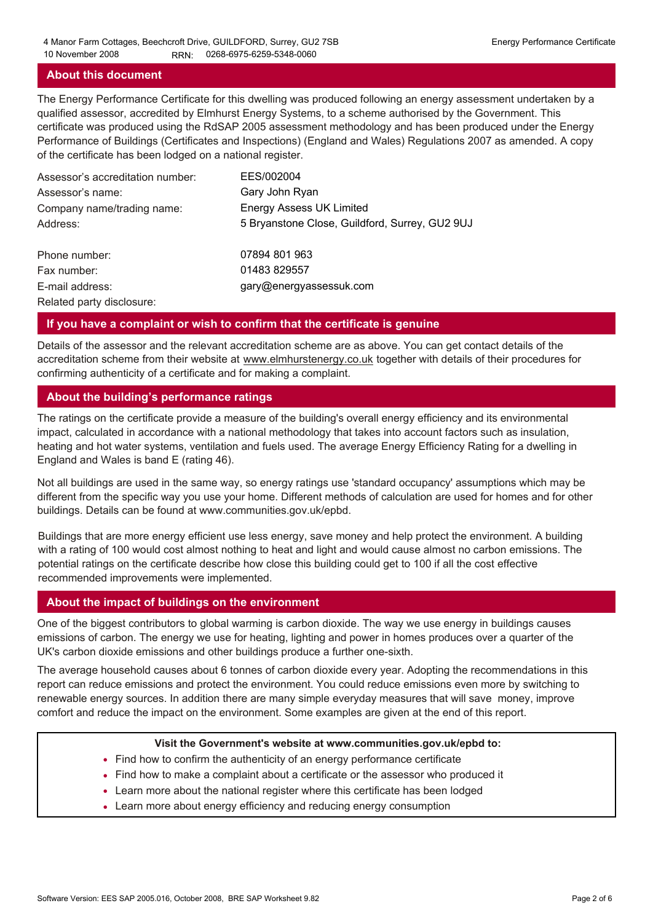## **About this document**

The Energy Performance Certificate for this dwelling was produced following an energy assessment undertaken by a qualified assessor, accredited by Elmhurst Energy Systems, to a scheme authorised by the Government. This certificate was produced using the RdSAP 2005 assessment methodology and has been produced under the Energy Performance of Buildings (Certificates and Inspections) (England and Wales) Regulations 2007 as amended. A copy of the certificate has been lodged on a national register.

| Assessor's accreditation number: | EES/002004                                     |
|----------------------------------|------------------------------------------------|
| Assessor's name:                 | Gary John Ryan                                 |
| Company name/trading name:       | <b>Energy Assess UK Limited</b>                |
| Address:                         | 5 Bryanstone Close, Guildford, Surrey, GU2 9UJ |
| Phone number:                    | 07894 801 963                                  |
| Fax number:                      | 01483 829557                                   |
| E-mail address:                  | gary@energyassessuk.com                        |
| Related party disclosure:        |                                                |

## **If you have a complaint or wish to confirm that the certificate is genuine**

Details of the assessor and the relevant accreditation scheme are as above. You can get contact details of the accreditation scheme from their website at www.elmhurstenergy.co.uk together with details of their procedures for confirming authenticity of a certificate and for making a complaint.

## **About the building's performance ratings**

The ratings on the certificate provide a measure of the building's overall energy efficiency and its environmental impact, calculated in accordance with a national methodology that takes into account factors such as insulation, heating and hot water systems, ventilation and fuels used. The average Energy Efficiency Rating for a dwelling in England and Wales is band E (rating 46).

Not all buildings are used in the same way, so energy ratings use 'standard occupancy' assumptions which may be different from the specific way you use your home. Different methods of calculation are used for homes and for other buildings. Details can be found at www.communities.gov.uk/epbd.

Buildings that are more energy efficient use less energy, save money and help protect the environment. A building with a rating of 100 would cost almost nothing to heat and light and would cause almost no carbon emissions. The potential ratings on the certificate describe how close this building could get to 100 if all the cost effective recommended improvements were implemented.

#### **About the impact of buildings on the environment**

One of the biggest contributors to global warming is carbon dioxide. The way we use energy in buildings causes emissions of carbon. The energy we use for heating, lighting and power in homes produces over a quarter of the UK's carbon dioxide emissions and other buildings produce a further one-sixth.

The average household causes about 6 tonnes of carbon dioxide every year. Adopting the recommendations in this report can reduce emissions and protect the environment. You could reduce emissions even more by switching to renewable energy sources. In addition there are many simple everyday measures that will save money, improve comfort and reduce the impact on the environment. Some examples are given at the end of this report.

#### **Visit the Government's website at www.communities.gov.uk/epbd to:**

- Find how to confirm the authenticity of an energy performance certificate
- Find how to make a complaint about a certificate or the assessor who produced it •
- Learn more about the national register where this certificate has been lodged •
- Learn more about energy efficiency and reducing energy consumption •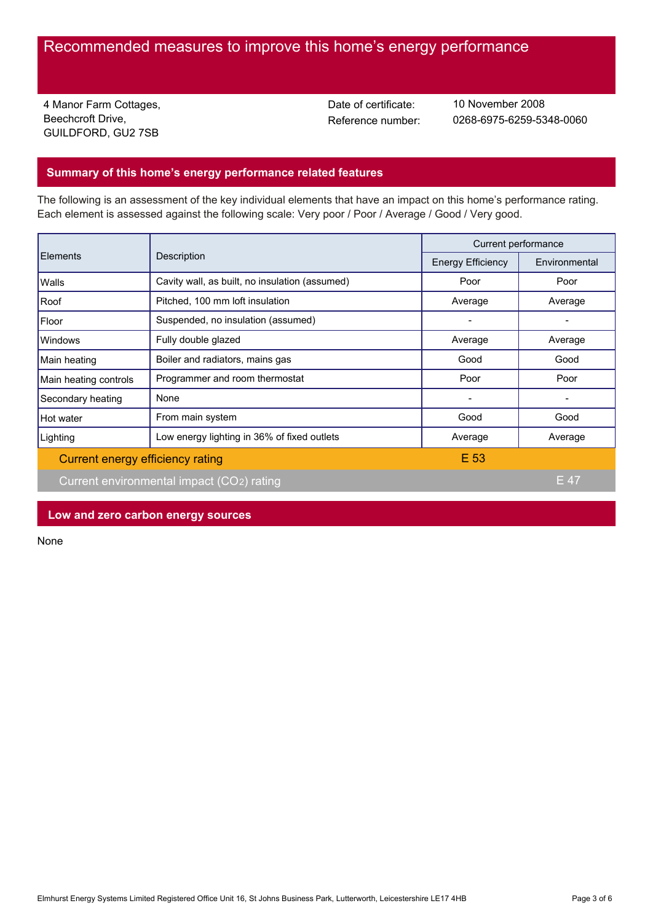# Recommended measures to improve this home's energy performance

4 Manor Farm Cottages, Beechcroft Drive, GUILDFORD, GU2 7SB

Date of certificate:

Reference number: 0268-6975-6259-5348-0060 10 November 2008

## **Summary of this home's energy performance related features**

The following is an assessment of the key individual elements that have an impact on this home's performance rating. Each element is assessed against the following scale: Very poor / Poor / Average / Good / Very good.

| Elements                         | Description                                    | Current performance      |               |
|----------------------------------|------------------------------------------------|--------------------------|---------------|
|                                  |                                                | <b>Energy Efficiency</b> | Environmental |
| Walls                            | Cavity wall, as built, no insulation (assumed) | Poor                     | Poor          |
| Roof                             | Pitched, 100 mm loft insulation                | Average                  | Average       |
| Floor                            | Suspended, no insulation (assumed)             |                          |               |
| Windows                          | Fully double glazed                            | Average                  | Average       |
| Main heating                     | Boiler and radiators, mains gas                | Good                     | Good          |
| Main heating controls            | Programmer and room thermostat                 | Poor                     | Poor          |
| Secondary heating                | None                                           |                          |               |
| Hot water                        | From main system                               | Good                     | Good          |
| Lighting                         | Low energy lighting in 36% of fixed outlets    | Average                  | Average       |
| Current energy efficiency rating |                                                | E 53                     |               |
|                                  | Current environmental impact (CO2) rating      |                          | E 47          |

**Low and zero carbon energy sources**

None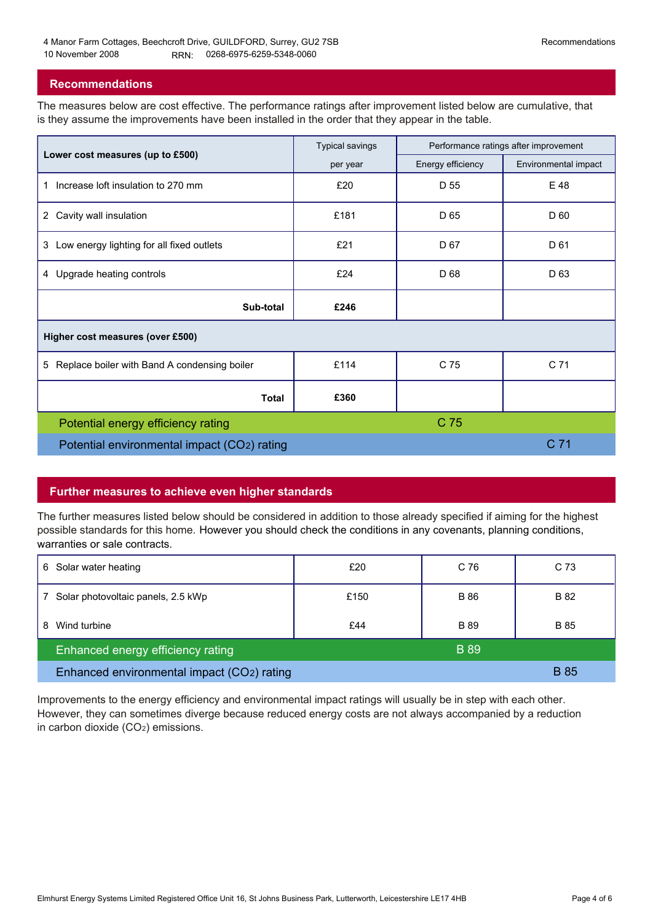#### **Recommendations**

The measures below are cost effective. The performance ratings after improvement listed below are cumulative, that is they assume the improvements have been installed in the order that they appear in the table.

|                                                   | <b>Typical savings</b> | Performance ratings after improvement |                      |  |  |  |
|---------------------------------------------------|------------------------|---------------------------------------|----------------------|--|--|--|
| Lower cost measures (up to £500)                  | per year               | Energy efficiency                     | Environmental impact |  |  |  |
| Increase loft insulation to 270 mm<br>1           | £20                    | D 55                                  | E 48                 |  |  |  |
| Cavity wall insulation<br>$\mathbf{2}$            | £181                   | D <sub>65</sub>                       | D 60                 |  |  |  |
| Low energy lighting for all fixed outlets<br>3    | £21                    | D <sub>67</sub>                       | D 61                 |  |  |  |
| 4 Upgrade heating controls                        | £24                    | D 68                                  | D <sub>63</sub>      |  |  |  |
| Sub-total                                         | £246                   |                                       |                      |  |  |  |
| Higher cost measures (over £500)                  |                        |                                       |                      |  |  |  |
| Replace boiler with Band A condensing boiler<br>5 | £114                   | C 75                                  | C <sub>71</sub>      |  |  |  |
| <b>Total</b>                                      | £360                   |                                       |                      |  |  |  |
| Potential energy efficiency rating                |                        | C 75                                  |                      |  |  |  |
| Potential environmental impact (CO2) rating       |                        |                                       | C 71                 |  |  |  |

## **Further measures to achieve even higher standards**

The further measures listed below should be considered in addition to those already specified if aiming for the highest possible standards for this home. However you should check the conditions in any covenants, planning conditions, warranties or sale contracts.

| 6 Solar water heating                      | £20  | C 76        | C 73        |
|--------------------------------------------|------|-------------|-------------|
| Solar photovoltaic panels, 2.5 kWp         | £150 | <b>B</b> 86 | B 82        |
| Wind turbine<br>8                          | £44  | <b>B</b> 89 | B 85        |
| Enhanced energy efficiency rating          |      | <b>B</b> 89 |             |
| Enhanced environmental impact (CO2) rating |      |             | <b>B</b> 85 |

Improvements to the energy efficiency and environmental impact ratings will usually be in step with each other. However, they can sometimes diverge because reduced energy costs are not always accompanied by a reduction in carbon dioxide (CO2) emissions.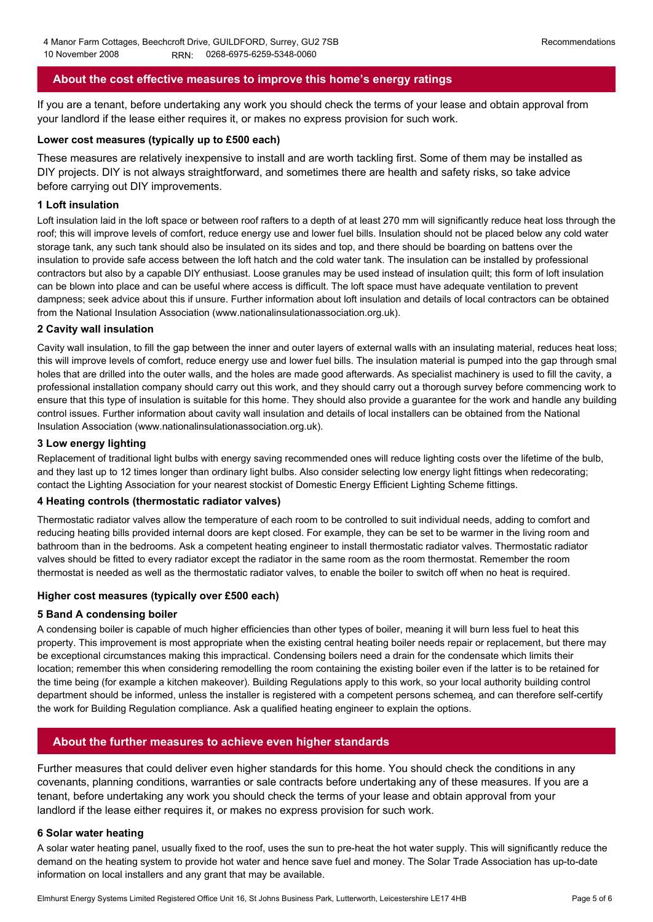## **About the cost effective measures to improve this home's energy ratings**

If you are a tenant, before undertaking any work you should check the terms of your lease and obtain approval from your landlord if the lease either requires it, or makes no express provision for such work.

#### **Lower cost measures (typically up to £500 each)**

These measures are relatively inexpensive to install and are worth tackling first. Some of them may be installed as DIY projects. DIY is not always straightforward, and sometimes there are health and safety risks, so take advice before carrying out DIY improvements.

#### **1 Loft insulation**

Loft insulation laid in the loft space or between roof rafters to a depth of at least 270 mm will significantly reduce heat loss through the roof; this will improve levels of comfort, reduce energy use and lower fuel bills. Insulation should not be placed below any cold water storage tank, any such tank should also be insulated on its sides and top, and there should be boarding on battens over the insulation to provide safe access between the loft hatch and the cold water tank. The insulation can be installed by professional contractors but also by a capable DIY enthusiast. Loose granules may be used instead of insulation quilt; this form of loft insulation can be blown into place and can be useful where access is difficult. The loft space must have adequate ventilation to prevent dampness; seek advice about this if unsure. Further information about loft insulation and details of local contractors can be obtained from the National Insulation Association (www.nationalinsulationassociation.org.uk).

#### **2 Cavity wall insulation**

Cavity wall insulation, to fill the gap between the inner and outer layers of external walls with an insulating material, reduces heat loss; this will improve levels of comfort, reduce energy use and lower fuel bills. The insulation material is pumped into the gap through small holes that are drilled into the outer walls, and the holes are made good afterwards. As specialist machinery is used to fill the cavity, a professional installation company should carry out this work, and they should carry out a thorough survey before commencing work to ensure that this type of insulation is suitable for this home. They should also provide a guarantee for the work and handle any building control issues. Further information about cavity wall insulation and details of local installers can be obtained from the National Insulation Association (www.nationalinsulationassociation.org.uk).

#### **3 Low energy lighting**

Replacement of traditional light bulbs with energy saving recommended ones will reduce lighting costs over the lifetime of the bulb, and they last up to 12 times longer than ordinary light bulbs. Also consider selecting low energy light fittings when redecorating; contact the Lighting Association for your nearest stockist of Domestic Energy Efficient Lighting Scheme fittings.

#### **4 Heating controls (thermostatic radiator valves)**

Thermostatic radiator valves allow the temperature of each room to be controlled to suit individual needs, adding to comfort and reducing heating bills provided internal doors are kept closed. For example, they can be set to be warmer in the living room and bathroom than in the bedrooms. Ask a competent heating engineer to install thermostatic radiator valves. Thermostatic radiator valves should be fitted to every radiator except the radiator in the same room as the room thermostat. Remember the room thermostat is needed as well as the thermostatic radiator valves, to enable the boiler to switch off when no heat is required.

#### **Higher cost measures (typically over £500 each)**

#### **5 Band A condensing boiler**

A condensing boiler is capable of much higher efficiencies than other types of boiler, meaning it will burn less fuel to heat this property. This improvement is most appropriate when the existing central heating boiler needs repair or replacement, but there may be exceptional circumstances making this impractical. Condensing boilers need a drain for the condensate which limits their location; remember this when considering remodelling the room containing the existing boiler even if the latter is to be retained for the time being (for example a kitchen makeover). Building Regulations apply to this work, so your local authority building control department should be informed, unless the installer is registered with a competent persons schemeą, and can therefore self-certify the work for Building Regulation compliance. Ask a qualified heating engineer to explain the options.

## **About the further measures to achieve even higher standards**

Further measures that could deliver even higher standards for this home. You should check the conditions in any covenants, planning conditions, warranties or sale contracts before undertaking any of these measures. If you are a tenant, before undertaking any work you should check the terms of your lease and obtain approval from your landlord if the lease either requires it, or makes no express provision for such work.

#### **6 Solar water heating**

A solar water heating panel, usually fixed to the roof, uses the sun to pre-heat the hot water supply. This will significantly reduce the demand on the heating system to provide hot water and hence save fuel and money. The Solar Trade Association has up-to-date information on local installers and any grant that may be available.